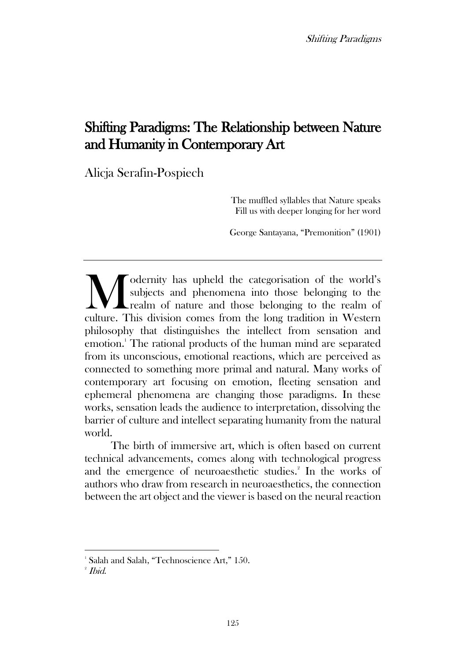# Shifting Paradigms: The Relationship between Nature and Humanity in Contemporary Art

Alicja Serafin-Pospiech

The muffled syllables that Nature speaks Fill us with deeper longing for her word

George Santayana, "Premonition" (1901)

odernity has upheld the categorisation of the world's subjects and phenomena into those belonging to the realm of nature and those belonging to the realm of **COMEN CONSERVIER MANUSTER CONSERVIER SET AND SET AND SET AND REGISTION CONSERVIER THE LONGIFT CONSERVIER THE LONGIFT CONSERVIER CONSERVIER CONSERVIER CONSERVIER CONSERVIER CONSERVIER CONSERVIER CONSERVIER CONSERVIER CONSE** philosophy that distinguishes the intellect from sensation and emotion.<sup>1</sup> The rational products of the human mind are separated from its unconscious, emotional reactions, which are perceived as connected to something more primal and natural. Many works of contemporary art focusing on emotion, fleeting sensation and ephemeral phenomena are changing those paradigms. In these works, sensation leads the audience to interpretation, dissolving the barrier of culture and intellect separating humanity from the natural world.

The birth of immersive art, which is often based on current technical advancements, comes along with technological progress and the emergence of neuroaesthetic studies.<sup>2</sup> In the works of authors who draw from research in neuroaesthetics, the connection between the art object and the viewer is based on the neural reaction

<sup>&</sup>lt;sup>1</sup> Salah and Salah, "Technoscience Art," 150.

<sup>2</sup> Ibid.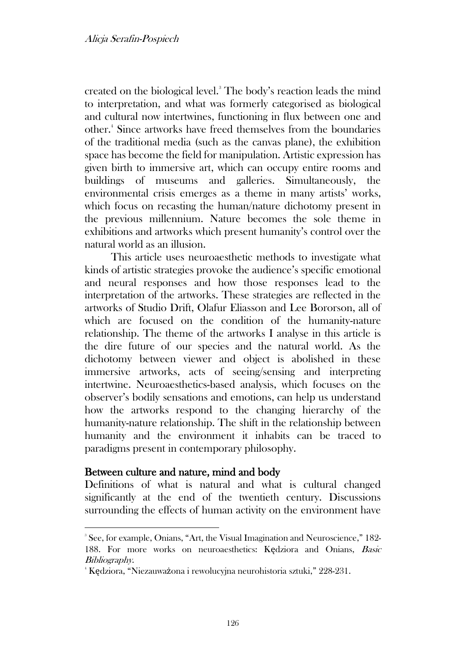created on the biological level.<sup>3</sup> The body's reaction leads the mind to interpretation, and what was formerly categorised as biological and cultural now intertwines, functioning in flux between one and other.<sup>4</sup> Since artworks have freed themselves from the boundaries of the traditional media (such as the canvas plane), the exhibition space has become the field for manipulation. Artistic expression has given birth to immersive art, which can occupy entire rooms and buildings of museums and galleries. Simultaneously, the environmental crisis emerges as a theme in many artists' works, which focus on recasting the human/nature dichotomy present in the previous millennium. Nature becomes the sole theme in exhibitions and artworks which present humanity's control over the natural world as an illusion.

This article uses neuroaesthetic methods to investigate what kinds of artistic strategies provoke the audience's specific emotional and neural responses and how those responses lead to the interpretation of the artworks. These strategies are reflected in the artworks of Studio Drift, Olafur Eliasson and Lee Bororson, all of which are focused on the condition of the humanity-nature relationship. The theme of the artworks I analyse in this article is the dire future of our species and the natural world. As the dichotomy between viewer and object is abolished in these immersive artworks, acts of seeing/sensing and interpreting intertwine. Neuroaesthetics-based analysis, which focuses on the observer's bodily sensations and emotions, can help us understand how the artworks respond to the changing hierarchy of the humanity-nature relationship. The shift in the relationship between humanity and the environment it inhabits can be traced to paradigms present in contemporary philosophy.

# Between culture and nature, mind and body

Definitions of what is natural and what is cultural changed significantly at the end of the twentieth century. Discussions surrounding the effects of human activity on the environment have

<sup>3</sup> See, for example, Onians, "Art, the Visual Imagination and Neuroscience," 182- 188. For more works on neuroaesthetics: Kędziora and Onians, Basic Bibliography.

<sup>4</sup> Kędziora, "Niezauważona i rewolucyjna neurohistoria sztuki," 228-231.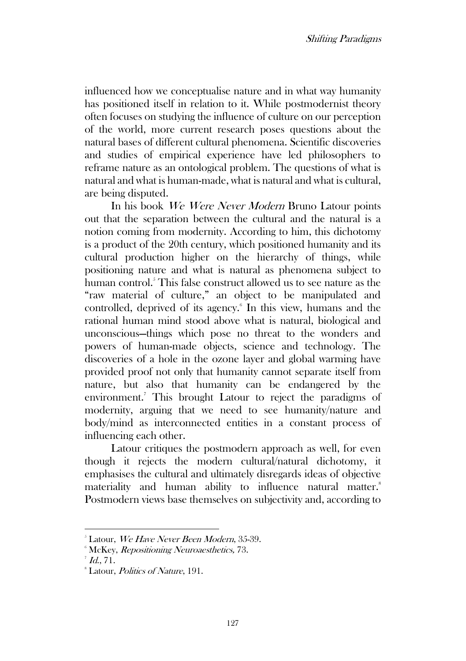influenced how we conceptualise nature and in what way humanity has positioned itself in relation to it. While postmodernist theory often focuses on studying the influence of culture on our perception of the world, more current research poses questions about the natural bases of different cultural phenomena. Scientific discoveries and studies of empirical experience have led philosophers to reframe nature as an ontological problem. The questions of what is natural and what is human-made, what is natural and what is cultural, are being disputed.

In his book We Were Never Modern Bruno Latour points out that the separation between the cultural and the natural is a notion coming from modernity. According to him, this dichotomy is a product of the 20th century, which positioned humanity and its cultural production higher on the hierarchy of things, while positioning nature and what is natural as phenomena subject to human control.<sup>5</sup> This false construct allowed us to see nature as the "raw material of culture," an object to be manipulated and controlled, deprived of its agency.<sup>6</sup> In this view, humans and the rational human mind stood above what is natural, biological and unconscious—things which pose no threat to the wonders and powers of human-made objects, science and technology. The discoveries of a hole in the ozone layer and global warming have provided proof not only that humanity cannot separate itself from nature, but also that humanity can be endangered by the environment.<sup>7</sup> This brought Latour to reject the paradigms of modernity, arguing that we need to see humanity/nature and body/mind as interconnected entities in a constant process of influencing each other.

Latour critiques the postmodern approach as well, for even though it rejects the modern cultural/natural dichotomy, it emphasises the cultural and ultimately disregards ideas of objective materiality and human ability to influence natural matter.<sup>8</sup> Postmodern views base themselves on subjectivity and, according to

<sup>&</sup>lt;sup>5</sup> Latour, We Have Never Been Modern, 35-39.

<sup>&</sup>lt;sup>6</sup> McKey, *Repositioning Neuroaesthetics*, 73.

 $^7$  Id., 71.

<sup>&</sup>lt;sup>8</sup> Latour, *Politics of Nature*, 191.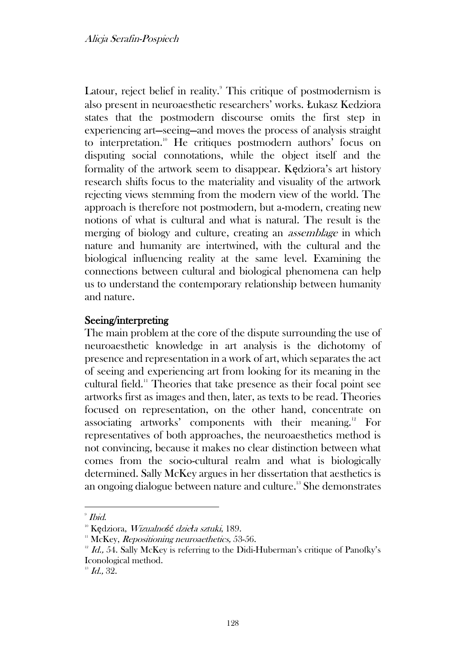Latour, reject belief in reality.<sup>9</sup> This critique of postmodernism is also present in neuroaesthetic researchers' works. Łukasz Kedziora states that the postmodern discourse omits the first step in experiencing art—seeing—and moves the process of analysis straight to interpretation.<sup>10</sup> He critiques postmodern authors' focus on disputing social connotations, while the object itself and the formality of the artwork seem to disappear. Kędziora's art history research shifts focus to the materiality and visuality of the artwork rejecting views stemming from the modern view of the world. The approach is therefore not postmodern, but a-modern, creating new notions of what is cultural and what is natural. The result is the merging of biology and culture, creating an assemblage in which nature and humanity are intertwined, with the cultural and the biological influencing reality at the same level. Examining the connections between cultural and biological phenomena can help us to understand the contemporary relationship between humanity and nature.

# Seeing/interpreting

The main problem at the core of the dispute surrounding the use of neuroaesthetic knowledge in art analysis is the dichotomy of presence and representation in a work of art, which separates the act of seeing and experiencing art from looking for its meaning in the cultural field.<sup>11</sup> Theories that take presence as their focal point see artworks first as images and then, later, as texts to be read. Theories focused on representation, on the other hand, concentrate on associating artworks' components with their meaning.<sup>12</sup> For representatives of both approaches, the neuroaesthetics method is not convincing, because it makes no clear distinction between what comes from the socio-cultural realm and what is biologically determined. Sally McKey argues in her dissertation that aesthetics is an ongoing dialogue between nature and culture.<sup>13</sup> She demonstrates

<sup>9</sup> Ibid.

<sup>10</sup> Kędziora, Wizualno*ść* dzie*ł*a sztuki, 189.

 $11$  McKey, *Repositioning neuroaethetics*, 53-56.

 $12$  Id., 54. Sally McKey is referring to the Didi-Huberman's critique of Panofky's Iconological method.

 $13$  Id., 32.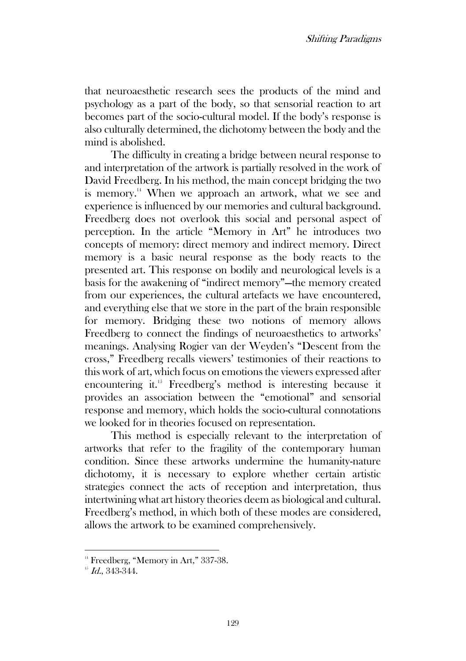that neuroaesthetic research sees the products of the mind and psychology as a part of the body, so that sensorial reaction to art becomes part of the socio-cultural model. If the body's response is also culturally determined, the dichotomy between the body and the mind is abolished.

The difficulty in creating a bridge between neural response to and interpretation of the artwork is partially resolved in the work of David Freedberg. In his method, the main concept bridging the two is memory.<sup>14</sup> When we approach an artwork, what we see and experience is influenced by our memories and cultural background. Freedberg does not overlook this social and personal aspect of perception. In the article "Memory in Art" he introduces two concepts of memory: direct memory and indirect memory. Direct memory is a basic neural response as the body reacts to the presented art. This response on bodily and neurological levels is a basis for the awakening of "indirect memory"—the memory created from our experiences, the cultural artefacts we have encountered, and everything else that we store in the part of the brain responsible for memory. Bridging these two notions of memory allows Freedberg to connect the findings of neuroaesthetics to artworks' meanings. Analysing Rogier van der Weyden's "Descent from the cross," Freedberg recalls viewers' testimonies of their reactions to this work of art, which focus on emotions the viewers expressed after encountering it.<sup>15</sup> Freedberg's method is interesting because it provides an association between the "emotional" and sensorial response and memory, which holds the socio-cultural connotations we looked for in theories focused on representation.

This method is especially relevant to the interpretation of artworks that refer to the fragility of the contemporary human condition. Since these artworks undermine the humanity-nature dichotomy, it is necessary to explore whether certain artistic strategies connect the acts of reception and interpretation, thus intertwining what art history theories deem as biological and cultural. Freedberg's method, in which both of these modes are considered, allows the artwork to be examined comprehensively.

<sup>&</sup>lt;sup>14</sup> Freedberg, "Memory in Art," 337-38.

 $15$  Id., 343-344.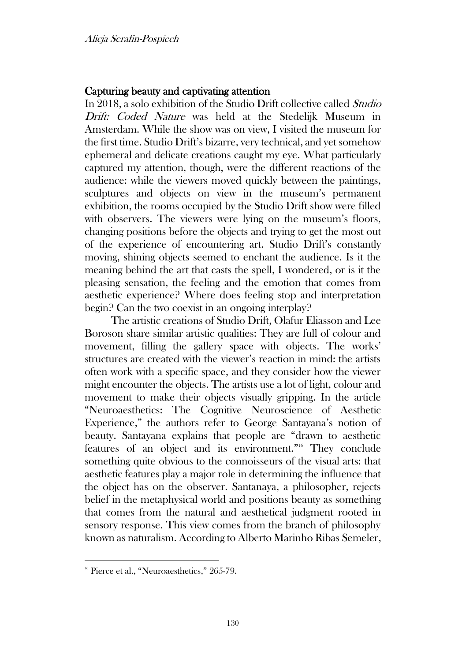## Capturing beauty and captivating attention

In 2018, a solo exhibition of the Studio Drift collective called Studio Drift: Coded Nature was held at the Stedelijk Museum in Amsterdam. While the show was on view, I visited the museum for the first time. Studio Drift's bizarre, very technical, and yet somehow ephemeral and delicate creations caught my eye. What particularly captured my attention, though, were the different reactions of the audience: while the viewers moved quickly between the paintings, sculptures and objects on view in the museum's permanent exhibition, the rooms occupied by the Studio Drift show were filled with observers. The viewers were lying on the museum's floors, changing positions before the objects and trying to get the most out of the experience of encountering art. Studio Drift's constantly moving, shining objects seemed to enchant the audience. Is it the meaning behind the art that casts the spell, I wondered, or is it the pleasing sensation, the feeling and the emotion that comes from aesthetic experience? Where does feeling stop and interpretation begin? Can the two coexist in an ongoing interplay?

The artistic creations of Studio Drift, Olafur Eliasson and Lee Boroson share similar artistic qualities: They are full of colour and movement, filling the gallery space with objects. The works' structures are created with the viewer's reaction in mind: the artists often work with a specific space, and they consider how the viewer might encounter the objects. The artists use a lot of light, colour and movement to make their objects visually gripping. In the article "Neuroaesthetics: The Cognitive Neuroscience of Aesthetic Experience," the authors refer to George Santayana's notion of beauty. Santayana explains that people are "drawn to aesthetic features of an object and its environment."<sup>16</sup> They conclude something quite obvious to the connoisseurs of the visual arts: that aesthetic features play a major role in determining the influence that the object has on the observer. Santanaya, a philosopher, rejects belief in the metaphysical world and positions beauty as something that comes from the natural and aesthetical judgment rooted in sensory response. This view comes from the branch of philosophy known as naturalism. According to Alberto Marinho Ribas Semeler,

<sup>&</sup>lt;sup>16</sup> Pierce et al., "Neuroaesthetics," 265-79.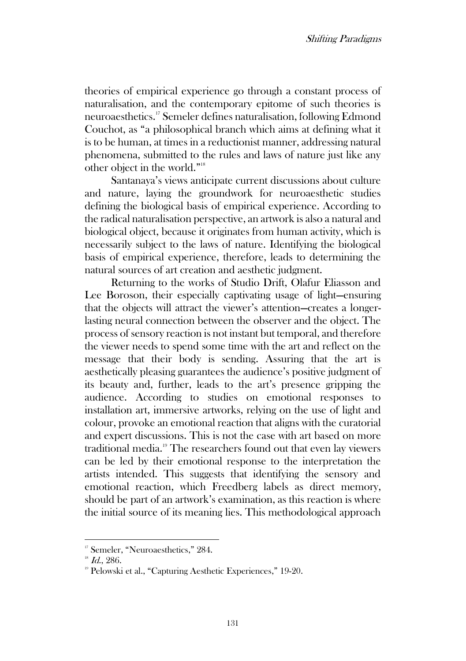theories of empirical experience go through a constant process of naturalisation, and the contemporary epitome of such theories is neuroaesthetics.<sup>17</sup> Semeler defines naturalisation, following Edmond Couchot, as "a philosophical branch which aims at defining what it is to be human, at times in a reductionist manner, addressing natural phenomena, submitted to the rules and laws of nature just like any other object in the world."<sup>18</sup>

Santanaya's views anticipate current discussions about culture and nature, laying the groundwork for neuroaesthetic studies defining the biological basis of empirical experience. According to the radical naturalisation perspective, an artwork is also a natural and biological object, because it originates from human activity, which is necessarily subject to the laws of nature. Identifying the biological basis of empirical experience, therefore, leads to determining the natural sources of art creation and aesthetic judgment.

Returning to the works of Studio Drift, Olafur Eliasson and Lee Boroson, their especially captivating usage of light—ensuring that the objects will attract the viewer's attention—creates a longerlasting neural connection between the observer and the object. The process of sensory reaction is not instant but temporal, and therefore the viewer needs to spend some time with the art and reflect on the message that their body is sending. Assuring that the art is aesthetically pleasing guarantees the audience's positive judgment of its beauty and, further, leads to the art's presence gripping the audience. According to studies on emotional responses to installation art, immersive artworks, relying on the use of light and colour, provoke an emotional reaction that aligns with the curatorial and expert discussions. This is not the case with art based on more traditional media.<sup>19</sup> The researchers found out that even lay viewers can be led by their emotional response to the interpretation the artists intended. This suggests that identifying the sensory and emotional reaction, which Freedberg labels as direct memory, should be part of an artwork's examination, as this reaction is where the initial source of its meaning lies. This methodological approach

<sup>&</sup>lt;sup>17</sup> Semeler, "Neuroaesthetics," 284.

 $18$  Id., 286.

<sup>&</sup>lt;sup>19</sup> Pelowski et al., "Capturing Aesthetic Experiences," 19-20.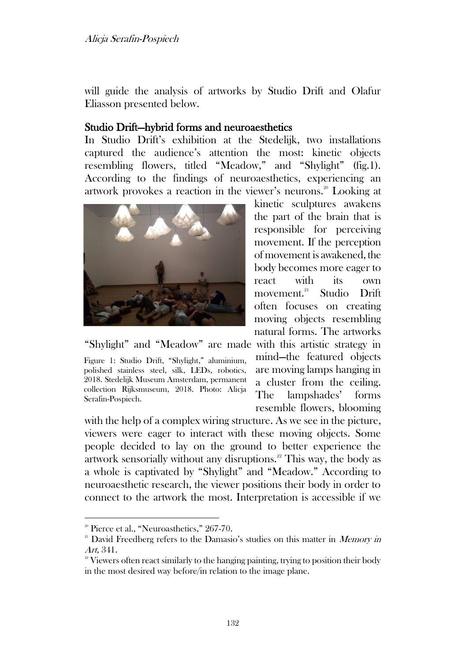will guide the analysis of artworks by Studio Drift and Olafur Eliasson presented below.

# Studio Drift—hybrid forms and neuroaesthetics

In Studio Drift's exhibition at the Stedelijk, two installations captured the audience's attention the most: kinetic objects resembling flowers, titled "Meadow," and "Shylight" (fig.1). According to the findings of neuroaesthetics, experiencing an artwork provokes a reaction in the viewer's neurons.<sup>20</sup> Looking at



"Shylight" and "Meadow" are made with this artistic strategy in

Figure 1: Studio Drift, "Shylight," aluminium, polished stainless steel, silk, LEDs, robotics, 2018. Stedelijk Museum Amsterdam, permanent collection Rijksmuseum, 2018. Photo: Alicja Serafin-Pospiech.

kinetic sculptures awakens the part of the brain that is responsible for perceiving movement. If the perception of movement is awakened, the body becomes more eager to react with its own movement.<sup>21</sup> Studio Drift often focuses on creating moving objects resembling natural forms. The artworks

mind—the featured objects are moving lamps hanging in a cluster from the ceiling. The lampshades' forms resemble flowers, blooming

with the help of a complex wiring structure. As we see in the picture, viewers were eager to interact with these moving objects. Some people decided to lay on the ground to better experience the artwork sensorially without any disruptions.<sup>22</sup> This way, the body as a whole is captivated by "Shylight" and "Meadow." According to neuroaesthetic research, the viewer positions their body in order to connect to the artwork the most. Interpretation is accessible if we

<sup>&</sup>lt;sup>20</sup> Pierce et al., "Neuroasthetics," 267-70.

<sup>&</sup>lt;sup>21</sup> David Freedberg refers to the Damasio's studies on this matter in *Memory in* Art, 341.

<sup>&</sup>lt;sup>22</sup> Viewers often react similarly to the hanging painting, trying to position their body in the most desired way before/in relation to the image plane.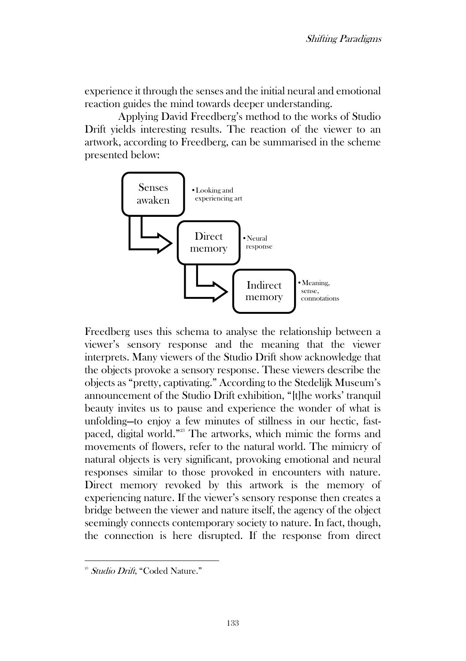experience it through the senses and the initial neural and emotional reaction guides the mind towards deeper understanding.

Applying David Freedberg's method to the works of Studio Drift yields interesting results. The reaction of the viewer to an artwork, according to Freedberg, can be summarised in the scheme presented below:



Freedberg uses this schema to analyse the relationship between a viewer's sensory response and the meaning that the viewer interprets. Many viewers of the Studio Drift show acknowledge that the objects provoke a sensory response. These viewers describe the objects as "pretty, captivating." According to the Stedelijk Museum's announcement of the Studio Drift exhibition, "[t]he works' tranquil beauty invites us to pause and experience the wonder of what is unfolding—to enjoy a few minutes of stillness in our hectic, fastpaced, digital world." <sup>23</sup> The artworks, which mimic the forms and movements of flowers, refer to the natural world. The mimicry of natural objects is very significant, provoking emotional and neural responses similar to those provoked in encounters with nature. Direct memory revoked by this artwork is the memory of experiencing nature. If the viewer's sensory response then creates a bridge between the viewer and nature itself, the agency of the object seemingly connects contemporary society to nature. In fact, though, the connection is here disrupted. If the response from direct

<sup>&</sup>lt;sup>23</sup> Studio Drift, "Coded Nature."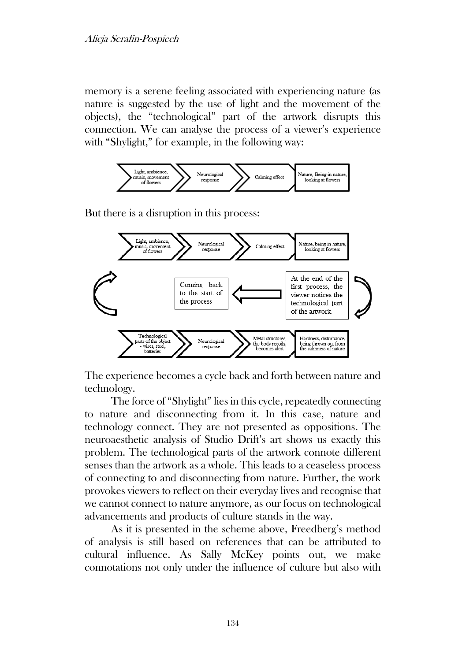memory is a serene feeling associated with experiencing nature (as nature is suggested by the use of light and the movement of the objects), the "technological" part of the artwork disrupts this connection. We can analyse the process of a viewer's experience with "Shylight," for example, in the following way:



But there is a disruption in this process:



The experience becomes a cycle back and forth between nature and technology.

The force of "Shylight" lies in this cycle, repeatedly connecting to nature and disconnecting from it. In this case, nature and technology connect. They are not presented as oppositions. The neuroaesthetic analysis of Studio Drift's art shows us exactly this problem. The technological parts of the artwork connote different senses than the artwork as a whole. This leads to a ceaseless process of connecting to and disconnecting from nature. Further, the work provokes viewers to reflect on their everyday lives and recognise that we cannot connect to nature anymore, as our focus on technological advancements and products of culture stands in the way.

As it is presented in the scheme above, Freedberg's method of analysis is still based on references that can be attributed to cultural influence. As Sally McKey points out, we make connotations not only under the influence of culture but also with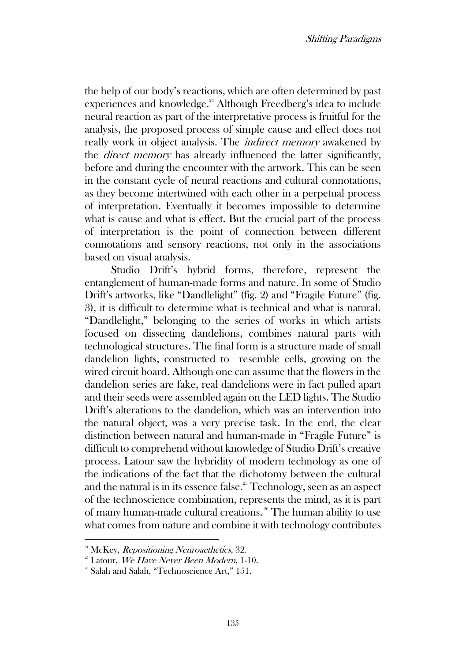the help of our body's reactions, which are often determined by past experiences and knowledge.<sup>24</sup> Although Freedberg's idea to include neural reaction as part of the interpretative process is fruitful for the analysis, the proposed process of simple cause and effect does not really work in object analysis. The indirect memory awakened by the direct memory has already influenced the latter significantly, before and during the encounter with the artwork. This can be seen in the constant cycle of neural reactions and cultural connotations, as they become intertwined with each other in a perpetual process of interpretation. Eventually it becomes impossible to determine what is cause and what is effect. But the crucial part of the process of interpretation is the point of connection between different connotations and sensory reactions, not only in the associations based on visual analysis.

Studio Drift's hybrid forms, therefore, represent the entanglement of human-made forms and nature. In some of Studio Drift's artworks, like "Dandlelight" (fig. 2) and "Fragile Future" (fig. 3), it is difficult to determine what is technical and what is natural. "Dandlelight," belonging to the series of works in which artists focused on dissecting dandelions, combines natural parts with technological structures. The final form is a structure made of small dandelion lights, constructed to resemble cells, growing on the wired circuit board. Although one can assume that the flowers in the dandelion series are fake, real dandelions were in fact pulled apart and their seeds were assembled again on the LED lights. The Studio Drift's alterations to the dandelion, which was an intervention into the natural object, was a very precise task. In the end, the clear distinction between natural and human-made in "Fragile Future" is difficult to comprehend without knowledge of Studio Drift's creative process. Latour saw the hybridity of modern technology as one of the indications of the fact that the dichotomy between the cultural and the natural is in its essence false.<sup>25</sup> Technology, seen as an aspect of the technoscience combination, represents the mind, as it is part of many human-made cultural creations. <sup>26</sup> The human ability to use what comes from nature and combine it with technology contributes

 $24$  McKey, *Repositioning Neuroaethetics*, 32.

 $25$  Latour, We Have Never Been Modern, 1-10.

<sup>&</sup>lt;sup>26</sup> Salah and Salah, "Technoscience Art," 151.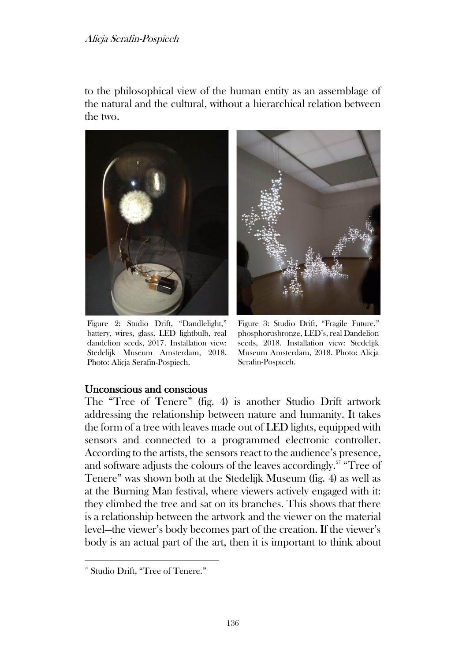### Alicja Serafin-Pospiech

to the philosophical view of the human entity as an assemblage of the natural and the cultural, without a hierarchical relation between the two.



Figure 2: Studio Drift, "Dandlelight," battery, wires, glass, LED lightbulb, real dandelion seeds, 2017. Installation view: Stedelijk Museum Amsterdam, 2018. Photo: Alicja Serafin-Pospiech.



Figure 3: Studio Drift, "Fragile Future," phosphorusbronze, LED's, real Dandelion seeds, 2018. Installation view: Stedelijk Museum Amsterdam, 2018. Photo: Alicja Serafin-Pospiech.

### Unconscious and conscious

The "Tree of Tenere" (fig. 4) is another Studio Drift artwork addressing the relationship between nature and humanity. It takes the form of a tree with leaves made out of LED lights, equipped with sensors and connected to a programmed electronic controller. According to the artists, the sensors react to the audience's presence, and software adjusts the colours of the leaves accordingly.<sup>27</sup> "Tree of Tenere" was shown both at the Stedelijk Museum (fig. 4) as well as at the Burning Man festival, where viewers actively engaged with it: they climbed the tree and sat on its branches. This shows that there is a relationship between the artwork and the viewer on the material level—the viewer's body becomes part of the creation. If the viewer's body is an actual part of the art, then it is important to think about

<sup>&</sup>lt;sup>27</sup> Studio Drift, "Tree of Tenere."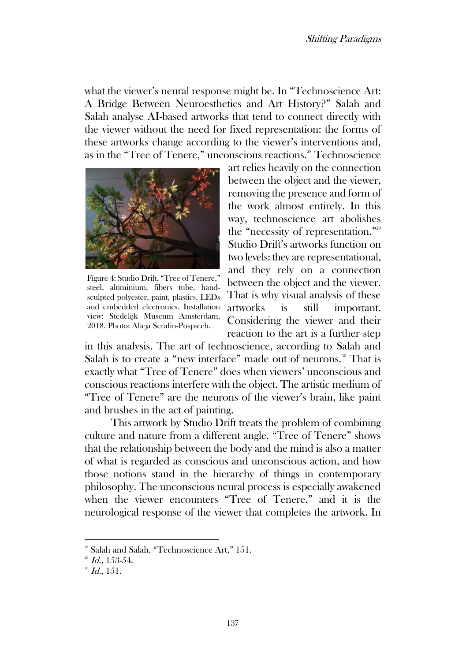what the viewer's neural response might be. In "Technoscience Art: A Bridge Between Neuroesthetics and Art History?" Salah and Salah analyse AI-based artworks that tend to connect directly with the viewer without the need for fixed representation: the forms of these artworks change according to the viewer's interventions and, as in the "Tree of Tenere," unconscious reactions.<sup>28</sup> Technoscience



Figure 4: Studio Drift, "Tree of Tenere," steel, aluminium, fibers tube, handsculpted polyester, paint, plastics, LEDs and embedded electronics. Installation view: Stedelijk Museum Amsterdam, 2018. Photo: Alicja Serafin-Pospiech.

art relies heavily on the connection between the object and the viewer, removing the presence and form of the work almost entirely. In this way, technoscience art abolishes the "necessity of representation."<sup>29</sup> Studio Drift's artworks function on two levels: they are representational, and they rely on a connection between the object and the viewer. That is why visual analysis of these artworks is still important. Considering the viewer and their reaction to the art is a further step

in this analysis. The art of technoscience, according to Salah and Salah is to create a "new interface" made out of neurons.<sup>30</sup> That is exactly what "Tree of Tenere" does when viewers' unconscious and conscious reactions interfere with the object. The artistic medium of "Tree of Tenere" are the neurons of the viewer's brain, like paint and brushes in the act of painting.

This artwork by Studio Drift treats the problem of combining culture and nature from a different angle. "Tree of Tenere" shows that the relationship between the body and the mind is also a matter of what is regarded as conscious and unconscious action, and how those notions stand in the hierarchy of things in contemporary philosophy. The unconscious neural process is especially awakened when the viewer encounters "Tree of Tenere," and it is the neurological response of the viewer that completes the artwork. In

<sup>&</sup>lt;sup>28</sup> Salah and Salah, "Technoscience Art," 151.

 $^{29}$  Id., 153-54.

 $^{30}$  *Id.*, 151.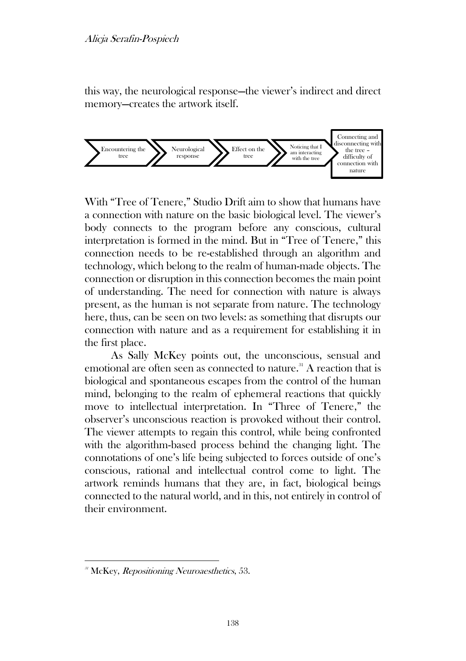this way, the neurological response—the viewer's indirect and direct memory—creates the artwork itself.



With "Tree of Tenere," Studio Drift aim to show that humans have a connection with nature on the basic biological level. The viewer's body connects to the program before any conscious, cultural interpretation is formed in the mind. But in "Tree of Tenere," this connection needs to be re-established through an algorithm and technology, which belong to the realm of human-made objects. The connection or disruption in this connection becomes the main point of understanding. The need for connection with nature is always present, as the human is not separate from nature. The technology here, thus, can be seen on two levels: as something that disrupts our connection with nature and as a requirement for establishing it in the first place.

As Sally McKey points out, the unconscious, sensual and emotional are often seen as connected to nature.<sup>31</sup> A reaction that is biological and spontaneous escapes from the control of the human mind, belonging to the realm of ephemeral reactions that quickly move to intellectual interpretation. In "Three of Tenere," the observer's unconscious reaction is provoked without their control. The viewer attempts to regain this control, while being confronted with the algorithm-based process behind the changing light. The connotations of one's life being subjected to forces outside of one's conscious, rational and intellectual control come to light. The artwork reminds humans that they are, in fact, biological beings connected to the natural world, and in this, not entirely in control of their environment.

 $31$  McKey, *Repositioning Neuroaesthetics*, 53.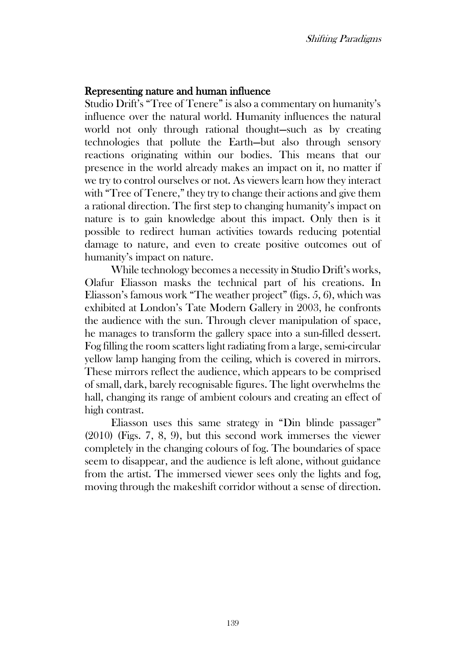#### Representing nature and human influence

Studio Drift's "Tree of Tenere" is also a commentary on humanity's influence over the natural world. Humanity influences the natural world not only through rational thought—such as by creating technologies that pollute the Earth—but also through sensory reactions originating within our bodies. This means that our presence in the world already makes an impact on it, no matter if we try to control ourselves or not. As viewers learn how they interact with "Tree of Tenere," they try to change their actions and give them a rational direction. The first step to changing humanity's impact on nature is to gain knowledge about this impact. Only then is it possible to redirect human activities towards reducing potential damage to nature, and even to create positive outcomes out of humanity's impact on nature.

While technology becomes a necessity in Studio Drift's works, Olafur Eliasson masks the technical part of his creations. In Eliasson's famous work "The weather project" (figs. 5, 6), which was exhibited at London's Tate Modern Gallery in 2003, he confronts the audience with the sun. Through clever manipulation of space, he manages to transform the gallery space into a sun-filled dessert. Fog filling the room scatters light radiating from a large, semi-circular yellow lamp hanging from the ceiling, which is covered in mirrors. These mirrors reflect the audience, which appears to be comprised of small, dark, barely recognisable figures. The light overwhelms the hall, changing its range of ambient colours and creating an effect of high contrast.

Eliasson uses this same strategy in "Din blinde passager" (2010) (Figs. 7, 8, 9), but this second work immerses the viewer completely in the changing colours of fog. The boundaries of space seem to disappear, and the audience is left alone, without guidance from the artist. The immersed viewer sees only the lights and fog, moving through the makeshift corridor without a sense of direction.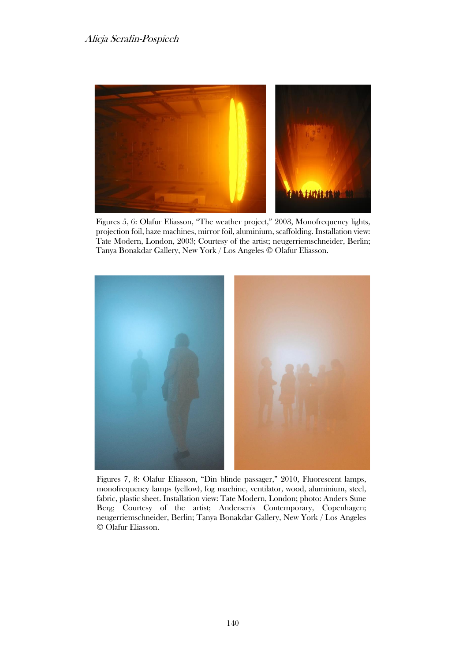

Figures 5, 6: Olafur Eliasson, "The weather project," 2003, Monofrequency lights, projection foil, haze machines, mirror foil, aluminium, scaffolding. Installation view: Tate Modern, London, 2003; Courtesy of the artist; neugerriemschneider, Berlin; Tanya Bonakdar Gallery, New York / Los Angeles © Olafur Eliasson.



Figures 7, 8: Olafur Eliasson, "Din blinde passager," 2010, Fluorescent lamps, monofrequency lamps (yellow), fog machine, ventilator, wood, aluminium, steel, fabric, plastic sheet. Installation view: Tate Modern, London; photo: Anders Sune Berg; Courtesy of the artist; Andersen's Contemporary, Copenhagen; neugerriemschneider, Berlin; Tanya Bonakdar Gallery, New York / Los Angeles © Olafur Eliasson.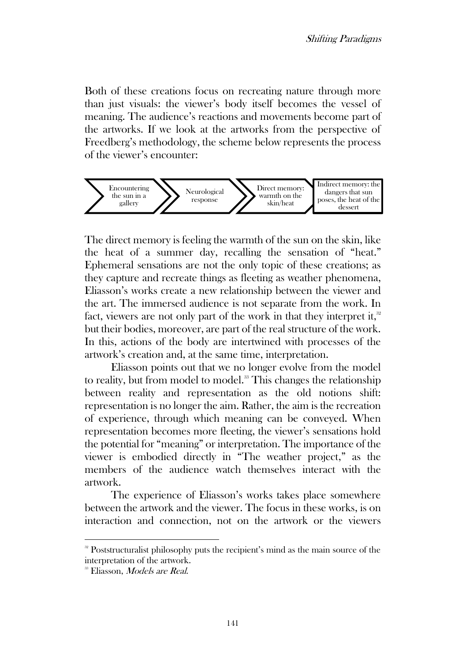Both of these creations focus on recreating nature through more than just visuals: the viewer's body itself becomes the vessel of meaning. The audience's reactions and movements become part of the artworks. If we look at the artworks from the perspective of Freedberg's methodology, the scheme below represents the process of the viewer's encounter:



The direct memory is feeling the warmth of the sun on the skin, like the heat of a summer day, recalling the sensation of "heat." Ephemeral sensations are not the only topic of these creations; as they capture and recreate things as fleeting as weather phenomena, Eliasson's works create a new relationship between the viewer and the art. The immersed audience is not separate from the work. In fact, viewers are not only part of the work in that they interpret it, $^{32}$ but their bodies, moreover, are part of the real structure of the work. In this, actions of the body are intertwined with processes of the artwork's creation and, at the same time, interpretation.

Eliasson points out that we no longer evolve from the model to reality, but from model to model.<sup>33</sup> This changes the relationship between reality and representation as the old notions shift: representation is no longer the aim. Rather, the aim is the recreation of experience, through which meaning can be conveyed. When representation becomes more fleeting, the viewer's sensations hold the potential for "meaning" or interpretation. The importance of the viewer is embodied directly in "The weather project," as the members of the audience watch themselves interact with the artwork.

The experience of Eliasson's works takes place somewhere between the artwork and the viewer. The focus in these works, is on interaction and connection, not on the artwork or the viewers

<sup>&</sup>lt;sup>32</sup> Poststructuralist philosophy puts the recipient's mind as the main source of the interpretation of the artwork.

<sup>&</sup>lt;sup>33</sup> Eliasson, *Models are Real*.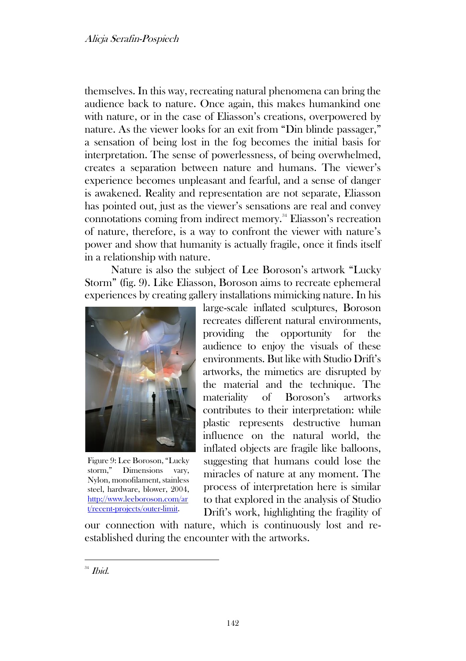themselves. In this way, recreating natural phenomena can bring the audience back to nature. Once again, this makes humankind one with nature, or in the case of Eliasson's creations, overpowered by nature. As the viewer looks for an exit from "Din blinde passager," a sensation of being lost in the fog becomes the initial basis for interpretation. The sense of powerlessness, of being overwhelmed, creates a separation between nature and humans. The viewer's experience becomes unpleasant and fearful, and a sense of danger is awakened. Reality and representation are not separate, Eliasson has pointed out, just as the viewer's sensations are real and convey connotations coming from indirect memory.<sup>34</sup> Eliasson's recreation of nature, therefore, is a way to confront the viewer with nature's power and show that humanity is actually fragile, once it finds itself in a relationship with nature.

Nature is also the subject of Lee Boroson's artwork "Lucky Storm" (fig. 9). Like Eliasson, Boroson aims to recreate ephemeral experiences by creating gallery installations mimicking nature. In his



Figure 9: Lee Boroson, "Lucky storm," Dimensions vary, Nylon, monofilament, stainless steel, hardware, blower, 2004, [http://www.leeboroson.com/ar](http://www.leeboroson.com/art/recent-projects/outer-limit) [t/recent-projects/outer-limit.](http://www.leeboroson.com/art/recent-projects/outer-limit)

large-scale inflated sculptures, Boroson recreates different natural environments, providing the opportunity for the audience to enjoy the visuals of these environments. But like with Studio Drift's artworks, the mimetics are disrupted by the material and the technique. The materiality of Boroson's artworks contributes to their interpretation: while plastic represents destructive human influence on the natural world, the inflated objects are fragile like balloons, suggesting that humans could lose the miracles of nature at any moment. The process of interpretation here is similar to that explored in the analysis of Studio Drift's work, highlighting the fragility of

our connection with nature, which is continuously lost and reestablished during the encounter with the artworks.

 $34$  Ibid.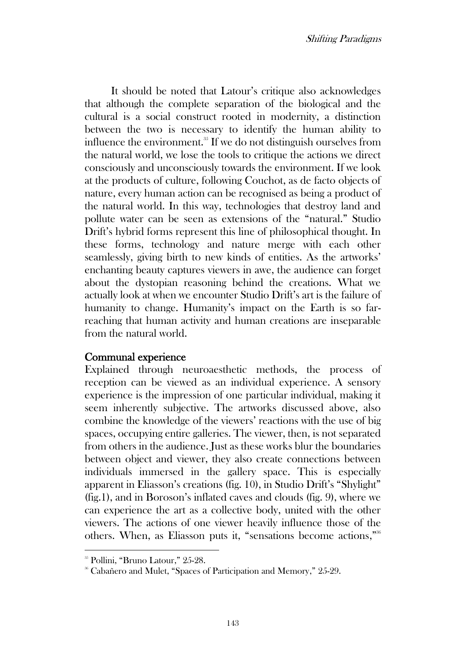It should be noted that Latour's critique also acknowledges that although the complete separation of the biological and the cultural is a social construct rooted in modernity, a distinction between the two is necessary to identify the human ability to influence the environment.<sup>35</sup> If we do not distinguish ourselves from the natural world, we lose the tools to critique the actions we direct consciously and unconsciously towards the environment. If we look at the products of culture, following Couchot, as de facto objects of nature, every human action can be recognised as being a product of the natural world. In this way, technologies that destroy land and pollute water can be seen as extensions of the "natural." Studio Drift's hybrid forms represent this line of philosophical thought. In these forms, technology and nature merge with each other seamlessly, giving birth to new kinds of entities. As the artworks' enchanting beauty captures viewers in awe, the audience can forget about the dystopian reasoning behind the creations. What we actually look at when we encounter Studio Drift's art is the failure of humanity to change. Humanity's impact on the Earth is so farreaching that human activity and human creations are inseparable from the natural world.

# Communal experience

Explained through neuroaesthetic methods, the process of reception can be viewed as an individual experience. A sensory experience is the impression of one particular individual, making it seem inherently subjective. The artworks discussed above, also combine the knowledge of the viewers' reactions with the use of big spaces, occupying entire galleries. The viewer, then, is not separated from others in the audience. Just as these works blur the boundaries between object and viewer, they also create connections between individuals immersed in the gallery space. This is especially apparent in Eliasson's creations (fig. 10), in Studio Drift's "Shylight" (fig.1), and in Boroson's inflated caves and clouds (fig. 9), where we can experience the art as a collective body, united with the other viewers. The actions of one viewer heavily influence those of the others. When, as Eliasson puts it, "sensations become actions," 36

<sup>&</sup>lt;sup>35</sup> Pollini, "Bruno Latour," 25-28.

<sup>36</sup> Cabañero and Mulet, "Spaces of Participation and Memory," 25-29.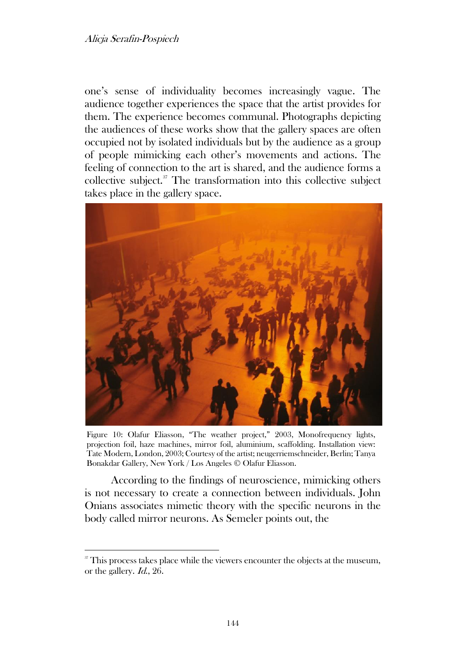#### Alicja Serafin-Pospiech

one's sense of individuality becomes increasingly vague. The audience together experiences the space that the artist provides for them. The experience becomes communal. Photographs depicting the audiences of these works show that the gallery spaces are often occupied not by isolated individuals but by the audience as a group of people mimicking each other's movements and actions. The feeling of connection to the art is shared, and the audience forms a collective subject.<sup>37</sup> The transformation into this collective subject takes place in the gallery space.



Figure 10: Olafur Eliasson, "The weather project," 2003, Monofrequency lights, projection foil, haze machines, mirror foil, aluminium, scaffolding. Installation view: Tate Modern, London, 2003; Courtesy of the artist; neugerriemschneider, Berlin; Tanya Bonakdar Gallery, New York / Los Angeles © Olafur Eliasson.

According to the findings of neuroscience, mimicking others is not necessary to create a connection between individuals. John Onians associates mimetic theory with the specific neurons in the body called mirror neurons. As Semeler points out, the

<sup>&</sup>lt;sup>37</sup> This process takes place while the viewers encounter the objects at the museum, or the gallery. Id., 26.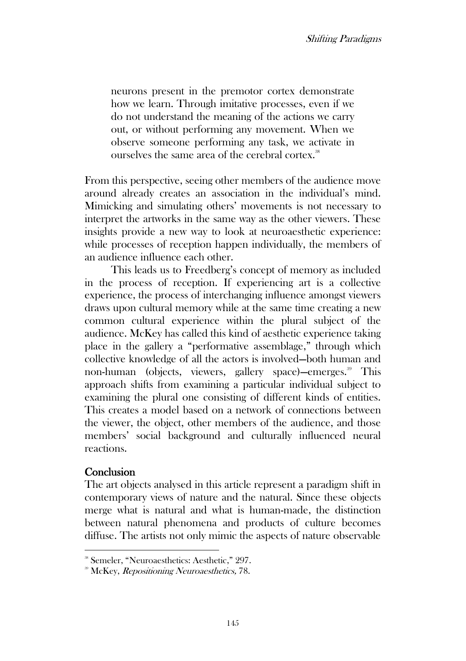neurons present in the premotor cortex demonstrate how we learn. Through imitative processes, even if we do not understand the meaning of the actions we carry out, or without performing any movement. When we observe someone performing any task, we activate in ourselves the same area of the cerebral cortex.<sup>38</sup>

From this perspective, seeing other members of the audience move around already creates an association in the individual's mind. Mimicking and simulating others' movements is not necessary to interpret the artworks in the same way as the other viewers. These insights provide a new way to look at neuroaesthetic experience: while processes of reception happen individually, the members of an audience influence each other.

This leads us to Freedberg's concept of memory as included in the process of reception. If experiencing art is a collective experience, the process of interchanging influence amongst viewers draws upon cultural memory while at the same time creating a new common cultural experience within the plural subject of the audience. McKey has called this kind of aesthetic experience taking place in the gallery a "performative assemblage," through which collective knowledge of all the actors is involved—both human and non-human (objects, viewers, gallery space)—emerges. <sup>39</sup> This approach shifts from examining a particular individual subject to examining the plural one consisting of different kinds of entities. This creates a model based on a network of connections between the viewer, the object, other members of the audience, and those members' social background and culturally influenced neural reactions.

# **Conclusion**

The art objects analysed in this article represent a paradigm shift in contemporary views of nature and the natural. Since these objects merge what is natural and what is human-made, the distinction between natural phenomena and products of culture becomes diffuse. The artists not only mimic the aspects of nature observable

<sup>38</sup> Semeler, "Neuroaesthetics: Aesthetic," 297.

<sup>&</sup>lt;sup>39</sup> McKey, *Repositioning Neuroaesthetics*, 78.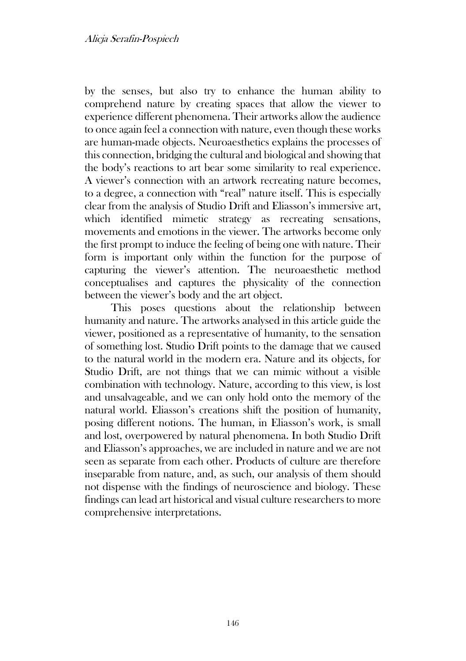by the senses, but also try to enhance the human ability to comprehend nature by creating spaces that allow the viewer to experience different phenomena. Their artworks allow the audience to once again feel a connection with nature, even though these works are human-made objects. Neuroaesthetics explains the processes of this connection, bridging the cultural and biological and showing that the body's reactions to art bear some similarity to real experience. A viewer's connection with an artwork recreating nature becomes, to a degree, a connection with "real" nature itself. This is especially clear from the analysis of Studio Drift and Eliasson's immersive art, which identified mimetic strategy as recreating sensations, movements and emotions in the viewer. The artworks become only the first prompt to induce the feeling of being one with nature. Their form is important only within the function for the purpose of capturing the viewer's attention. The neuroaesthetic method conceptualises and captures the physicality of the connection between the viewer's body and the art object.

This poses questions about the relationship between humanity and nature. The artworks analysed in this article guide the viewer, positioned as a representative of humanity, to the sensation of something lost. Studio Drift points to the damage that we caused to the natural world in the modern era. Nature and its objects, for Studio Drift, are not things that we can mimic without a visible combination with technology. Nature, according to this view, is lost and unsalvageable, and we can only hold onto the memory of the natural world. Eliasson's creations shift the position of humanity, posing different notions. The human, in Eliasson's work, is small and lost, overpowered by natural phenomena. In both Studio Drift and Eliasson's approaches, we are included in nature and we are not seen as separate from each other. Products of culture are therefore inseparable from nature, and, as such, our analysis of them should not dispense with the findings of neuroscience and biology. These findings can lead art historical and visual culture researchers to more comprehensive interpretations.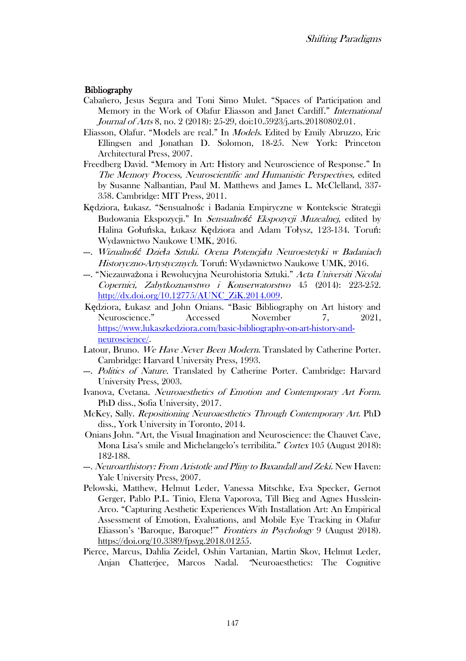#### **Bibliography**

- Cabañero, Jesus Segura and Toni Simo Mulet. "Spaces of Participation and Memory in the Work of Olafur Eliasson and Janet Cardiff." International Journal of Arts 8, no. 2 (2018): 25-29, doi:10.5923/j.arts.20180802.01.
- Eliasson, Olafur. "Models are real." In Models. Edited by Emily Abruzzo, Eric Ellingsen and Jonathan D. Solomon, 18-25. New York: Princeton Architectural Press, 2007.
- Freedberg David. "Memory in Art: History and Neuroscience of Response." In The Memory Process, Neuroscientific and Humanistic Perspectives, edited by Susanne Nalbantian, Paul M. Matthews and James L. McClelland, 337- 358. Cambridge: MIT Press, 2011.
- Kędziora, Łukasz. "Sensualnośc i Badania Empiryczne w Kontekscie Strategii Budowania Ekspozycji." In Sensualno*ść* Ekspozycji Muzealnej, edited by Halina Gołuńska, Łukasz Kędziora and Adam Tołysz, 123-134. Toruń: Wydawnictwo Naukowe UMK, 2016.
- ---. Wizualno*ść* Dzie*ł*a Sztuki. Ocena Potencja*ł*u Neuroestetyki w Badaniach Historyczno-Artystycznych. Toruń: Wydawnictwo Naukowe UMK, 2016.
- --. "Niezauważona i Rewolucyjna Neurohistoria Sztuki." Acta Universiti Nicolai Copernici, Zabytkoznawstwo i Konserwatorstwo 45 (2014): 223-252. [http://dx.doi.org/10.12775/AUNC\\_ZiK.2014.009.](http://dx.doi.org/10.12775/AUNC_ZiK.2014.009)
- Kędziora, Łukasz and John Onians. "Basic Bibliography on Art history and Neuroscience." Accessed November 7, 2021, [https://www.lukaszkedziora.com/basic-bibliography-on-art-history-and](https://www.lukaszkedziora.com/basic-bibliography-on-art-history-and-neuroscience/)[neuroscience/.](https://www.lukaszkedziora.com/basic-bibliography-on-art-history-and-neuroscience/)
- Latour, Bruno. We Have Never Been Modern. Translated by Catherine Porter. Cambridge: Harvard University Press, 1993.
- --. *Politics of Nature*. Translated by Catherine Porter. Cambridge: Harvard University Press, 2003.
- Ivanova, Cvetana. Neuroaesthetics of Emotion and Contemporary Art Form. PhD diss., Sofia University, 2017.
- McKey, Sally. Repositioning Neuroaesthetics Through Contemporary Art. PhD diss., York University in Toronto, 2014.
- Onians John. "Art, the Visual Imagination and Neuroscience: the Chauvet Cave, Mona Lisa's smile and Michelangelo's terribilita." Cortex 105 (August 2018): 182-188.
- ---. Neuroarthistory: From Aristotle and Pliny to Baxandall and Zeki. New Haven: Yale University Press, 2007.
- Pelowski, Matthew, Helmut Leder, Vanessa Mitschke, Eva Specker, Gernot Gerger, Pablo P.L. Tinio, Elena Vaporova, Till Bieg and Agnes Husslein-Arco. "Capturing Aesthetic Experiences With Installation Art: An Empirical Assessment of Emotion, Evaluations, and Mobile Eye Tracking in Olafur Eliasson's 'Baroque, Baroque!'" Frontiers in Psychology 9 (August 2018). [https://doi.org/10.3389/fpsyg.2018.01255.](https://doi.org/10.3389/fpsyg.2018.01255)
- Pierce, Marcus, Dahlia Zeidel, Oshin Vartanian, Martin Skov, Helmut Leder, Anjan Chatterjee, Marcos Nadal. "Neuroaesthetics: The Cognitive